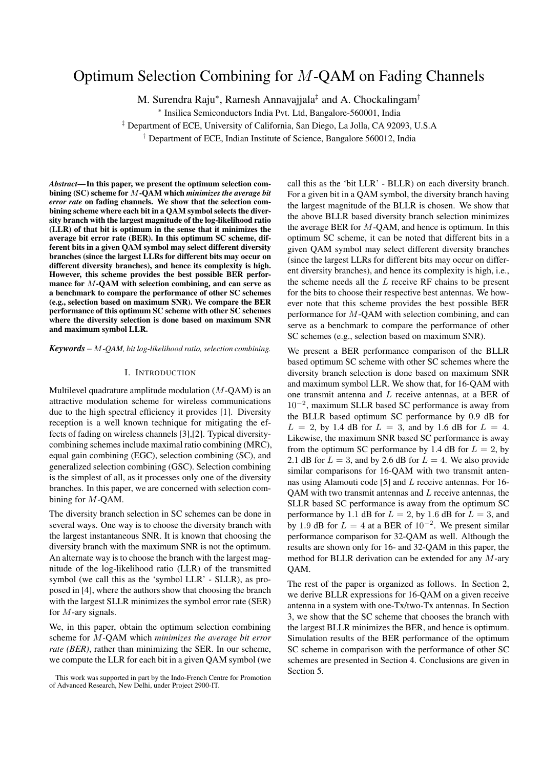# Optimum Selection Combining for *M*-QAM on Fading Channels

M. Surendra Raju<sup>∗</sup>, Ramesh Annavajjala<sup>‡</sup> and A. Chockalingam<sup>†</sup>

∗ Insilica Semiconductors India Pvt. Ltd, Bangalore-560001, India

‡ Department of ECE, University of California, San Diego, La Jolla, CA 92093, U.S.A

† Department of ECE, Indian Institute of Science, Bangalore 560012, India

*Abstract***—In this paper, we present the optimum selection combining (SC) scheme for** M**-QAM which** *minimizes the average bit error rate* **on fading channels. We show that the selection combining scheme where each bit in a QAM symbol selects the diversity branch with the largest magnitude of the log-likelihood ratio (LLR) of that bit is optimum in the sense that it minimizes the average bit error rate (BER). In this optimum SC scheme, different bits in a given QAM symbol may select different diversity branches (since the largest LLRs for different bits may occur on different diversity branches), and hence its complexity is high. However, this scheme provides the best possible BER performance for** M**-QAM with selection combining, and can serve as a benchmark to compare the performance of other SC schemes (e.g., selection based on maximum SNR). We compare the BER performance of this optimum SC scheme with other SC schemes where the diversity selection is done based on maximum SNR and maximum symbol LLR.**

*Keywords* – M*-QAM, bit log-likelihood ratio, selection combining.*

## I. INTRODUCTION

Multilevel quadrature amplitude modulation  $(M-QAM)$  is an attractive modulation scheme for wireless communications due to the high spectral efficiency it provides [1]. Diversity reception is a well known technique for mitigating the effects of fading on wireless channels [3],[2]. Typical diversitycombining schemes include maximal ratio combining (MRC), equal gain combining (EGC), selection combining (SC), and generalized selection combining (GSC). Selection combining is the simplest of all, as it processes only one of the diversity branches. In this paper, we are concerned with selection combining for M-QAM.

The diversity branch selection in SC schemes can be done in several ways. One way is to choose the diversity branch with the largest instantaneous SNR. It is known that choosing the diversity branch with the maximum SNR is not the optimum. An alternate way is to choose the branch with the largest magnitude of the log-likelihood ratio (LLR) of the transmitted symbol (we call this as the 'symbol LLR' - SLLR), as proposed in [4], where the authors show that choosing the branch with the largest SLLR minimizes the symbol error rate (SER) for M-ary signals.

We, in this paper, obtain the optimum selection combining scheme for M-QAM which *minimizes the average bit error rate (BER)*, rather than minimizing the SER. In our scheme, we compute the LLR for each bit in a given QAM symbol (we call this as the 'bit LLR' - BLLR) on each diversity branch. For a given bit in a QAM symbol, the diversity branch having the largest magnitude of the BLLR is chosen. We show that the above BLLR based diversity branch selection minimizes the average BER for  $M$ -QAM, and hence is optimum. In this optimum SC scheme, it can be noted that different bits in a given QAM symbol may select different diversity branches (since the largest LLRs for different bits may occur on different diversity branches), and hence its complexity is high, i.e., the scheme needs all the  $L$  receive RF chains to be present for the bits to choose their respective best antennas. We however note that this scheme provides the best possible BER performance for M-QAM with selection combining, and can serve as a benchmark to compare the performance of other SC schemes (e.g., selection based on maximum SNR).

We present a BER performance comparison of the BLLR based optimum SC scheme with other SC schemes where the diversity branch selection is done based on maximum SNR and maximum symbol LLR. We show that, for 16-QAM with one transmit antenna and L receive antennas, at a BER of  $10^{-2}$ , maximum SLLR based SC performance is away from the BLLR based optimum SC performance by 0.9 dB for  $L = 2$ , by 1.4 dB for  $L = 3$ , and by 1.6 dB for  $L = 4$ . Likewise, the maximum SNR based SC performance is away from the optimum SC performance by 1.4 dB for  $L = 2$ , by 2.1 dB for  $L = 3$ , and by 2.6 dB for  $L = 4$ . We also provide similar comparisons for 16-QAM with two transmit antennas using Alamouti code [5] and L receive antennas. For 16- QAM with two transmit antennas and L receive antennas, the SLLR based SC performance is away from the optimum SC performance by 1.1 dB for  $L = 2$ , by 1.6 dB for  $L = 3$ , and by 1.9 dB for  $L = 4$  at a BER of  $10^{-2}$ . We present similar performance comparison for 32-QAM as well. Although the results are shown only for 16- and 32-QAM in this paper, the method for BLLR derivation can be extended for any M-ary QAM.

The rest of the paper is organized as follows. In Section 2, we derive BLLR expressions for 16-QAM on a given receive antenna in a system with one-Tx/two-Tx antennas. In Section 3, we show that the SC scheme that chooses the branch with the largest BLLR minimizes the BER, and hence is optimum. Simulation results of the BER performance of the optimum SC scheme in comparison with the performance of other SC schemes are presented in Section 4. Conclusions are given in Section 5.

This work was supported in part by the Indo-French Centre for Promotion of Advanced Research, New Delhi, under Project 2900-IT.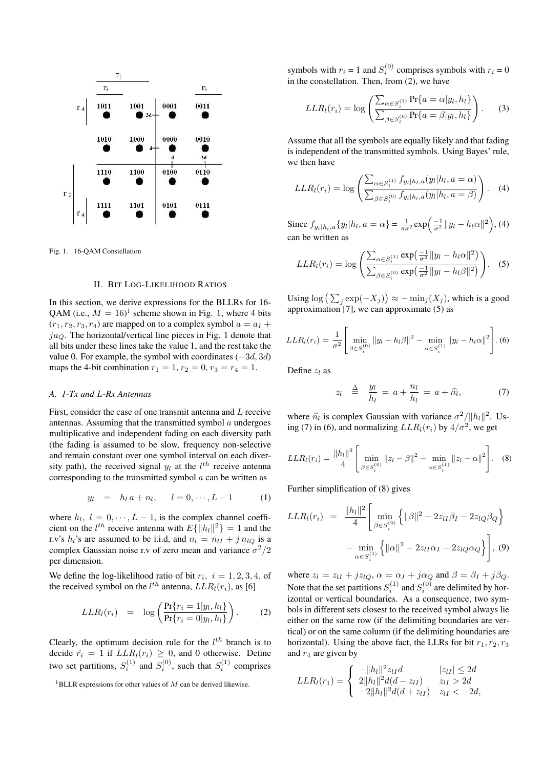

Fig. 1. 16-QAM Constellation

## II. BIT LOG-LIKELIHOOD RATIOS

In this section, we derive expressions for the BLLRs for 16- QAM (i.e.,  $M = 16$ )<sup>1</sup> scheme shown in Fig. 1, where 4 bits  $(x_1, x_2, x_3, x_4)$  are manned on to a complex symbol  $a = ax +$  $(r_1, r_2, r_3, r_4)$  are mapped on to a complex symbol  $a = a_1 + a_2$  $ja<sub>O</sub>$ . The horizontal/vertical line pieces in Fig. 1 denote that all bits under these lines take the value 1, and the rest take the value 0. For example, the symbol with coordinates  $(-3d, 3d)$ maps the 4-bit combination  $r_1 = 1$ ,  $r_2 = 0$ ,  $r_3 = r_4 = 1$ .

## *A. 1-Tx and* L*-Rx Antennas*

First, consider the case of one transmit antenna and L receive antennas. Assuming that the transmitted symbol  $a$  undergoes multiplicative and independent fading on each diversity path (the fading is assumed to be slow, frequency non-selective and remain constant over one symbol interval on each diversity path), the received signal  $y_l$  at the  $l^{th}$  receive antenna corresponding to the transmitted symbol  $\alpha$  can be written as

$$
y_l = h_l a + n_l, \quad l = 0, \cdots, L - 1 \quad (1)
$$

where  $h_l$ ,  $l = 0, \dots, L - 1$ , is the complex channel coefficient on the *l<sup>th</sup>* receive antenna with  $E\{\|h_l\|^2\} = 1$  and the ry's *h*<sub>1</sub>'s are assumed to be i.i.d. and  $v_l = v_{l1} + i v_{l2}$  is a r.v's  $h_l$ 's are assumed to be i.i.d, and  $n_l = n_{lI} + j n_{lO}$  is a complex Gaussian noise r.v of zero mean and variance  $\sigma^2/2$ per dimension.

We define the log-likelihood ratio of bit  $r_i$ ,  $i = 1, 2, 3, 4$ , of the received symbol on the  $l^{th}$  antenna,  $LLR_l(r_i)$ , as [6]

$$
LLR_l(r_i) = \log \left( \frac{\Pr\{r_i = 1 | y_l, h_l\}}{\Pr\{r_i = 0 | y_l, h_l\}} \right). \tag{2}
$$

Clearly, the optimum decision rule for the  $l^{th}$  branch is to decide  $\hat{r}_i = 1$  if  $LLR_l(r_i) \geq 0$ , and 0 otherwise. Define two set partitions,  $S_i^{(1)}$  and  $S_i^{(0)}$ , such that  $S_i^{(1)}$  comprises

symbols with  $r_i = 1$  and  $S_i^{(0)}$  comprises symbols with  $r_i = 0$ in the constellation. Then, from (2), we have

$$
LLR_l(r_i) = \log \left( \frac{\sum_{\alpha \in S_i^{(1)}} \Pr\{a = \alpha | y_l, h_l\}}{\sum_{\beta \in S_i^{(0)}} \Pr\{a = \beta | y_l, h_l\}} \right).
$$
 (3)

Assume that all the symbols are equally likely and that fading is independent of the transmitted symbols. Using Bayes' rule, we then have

$$
LLR_l(r_i) = \log \left( \frac{\sum_{\alpha \in S_i^{(1)}} f_{y_l|h_l, a}(y_l|h_l, a = \alpha)}{\sum_{\beta \in S_i^{(0)}} f_{y_l|h_l, a}(y_l|h_l, a = \beta)} \right).
$$
 (4)

Since  $f_{y_l|h_l, a}\{y_l|h_l, a = \alpha\} = \frac{1}{\pi \sigma^2} \exp\left(\frac{-1}{\sigma^2} ||y_l - h_l \alpha||^2\right)$ , (4) can be written as

$$
LLR_l(r_i) = \log \left( \frac{\sum_{\alpha \in S_i^{(1)}} \exp\left(\frac{-1}{\sigma^2} ||y_l - h_l \alpha||^2\right)}{\sum_{\beta \in S_i^{(0)}} \exp\left(\frac{-1}{\sigma^2} ||y_l - h_l \beta||^2\right)} \right).
$$
 (5)

Using  $\log \left( \sum_j \exp(-X_j) \right) \approx -\min_j (X_j)$ , which is a good approximation [7], we can approximate (5) as

$$
LLR_l(r_i) = \frac{1}{\sigma^2} \left[ \min_{\beta \in S_l^{(0)}} ||y_l - h_l \beta||^2 - \min_{\alpha \in S_l^{(1)}} ||y_l - h_l \alpha||^2 \right].
$$
 (6)

Define  $z_l$  as

$$
z_l \triangleq \frac{y_l}{h_l} = a + \frac{n_l}{h_l} = a + \widehat{n}_l, \tag{7}
$$

where  $\hat{n}_l$  is complex Gaussian with variance  $\sigma^2/||h_l||^2$ . Using (7) in (6), and normalizing  $LLR_l(r_i)$  by  $4/\sigma^2$ , we get

$$
LLR_l(r_i) = \frac{\|h_l\|^2}{4} \left[ \min_{\beta \in S_i^{(0)}} \|z_l - \beta\|^2 - \min_{\alpha \in S_i^{(1)}} \|z_l - \alpha\|^2 \right].
$$
 (8)

Further simplification of (8) gives

$$
LLR_l(r_i) = \frac{\|h_l\|^2}{4} \left[ \min_{\beta \in S_i^{(0)}} \left\{ \|\beta\|^2 - 2z_{lI}\beta_I - 2z_{lQ}\beta_Q \right\} - \min_{\alpha \in S_i^{(1)}} \left\{ \|\alpha\|^2 - 2z_{lI}\alpha_I - 2z_{lQ}\alpha_Q \right\} \right],
$$
 (9)

where  $z_l = z_{lI} + jz_{lQ}$ ,  $\alpha = \alpha_I + j\alpha_Q$  and  $\beta = \beta_I + j\beta_Q$ . Note that the set partitions  $S_i^{(1)}$  and  $S_i^{(0)}$  are delimited by horizontal or vertical boundaries. As a consequence, two symbols in different sets closest to the received symbol always lie either on the same row (if the delimiting boundaries are vertical) or on the same column (if the delimiting boundaries are horizontal). Using the above fact, the LLRs for bit  $r_1, r_2, r_3$ and  $r_4$  are given by

$$
LLR_l(r_1) = \begin{cases} -||h_l||^2 z_{lI}d & |z_{lI}| \leq 2d\\ 2||h_l||^2 d(d - z_{lI}) & z_{lI} > 2d\\ -2||h_l||^2 d(d + z_{lI}) & z_{lI} < -2d, \end{cases}
$$

<sup>1</sup>BLLR expressions for other values of *M* can be derived likewise.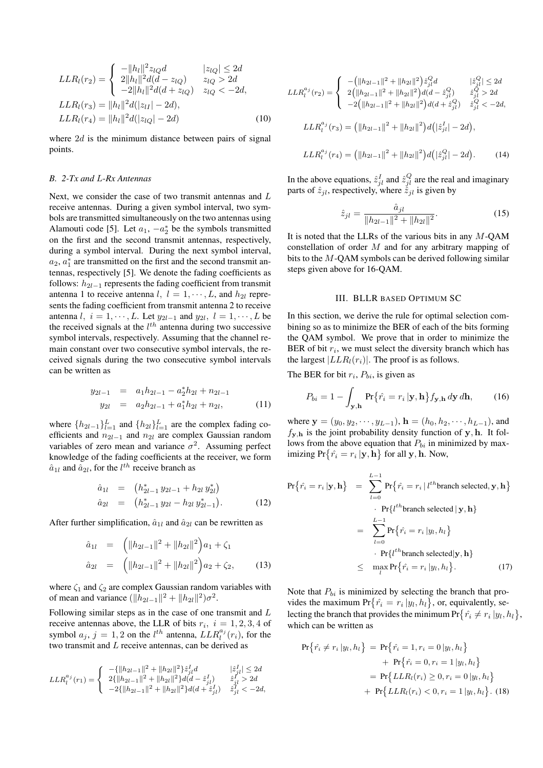$$
LLR_l(r_2) = \begin{cases} -||h_l||^2 z_{lQ}d & |z_{lQ}| \le 2d\\ 2||h_l||^2 d(d - z_{lQ}) & z_{lQ} > 2d\\ -2||h_l||^2 d(d + z_{lQ}) & z_{lQ} < -2d, \end{cases}
$$
  
\n
$$
LLR_l(r_3) = ||h_l||^2 d(|z_{lI}| - 2d),
$$
  
\n
$$
LLR_l(r_4) = ||h_l||^2 d(|z_{lQ}| - 2d)
$$
 (10)

where  $2d$  is the minimum distance between pairs of signal points.

#### *B. 2-Tx and* L*-Rx Antennas*

Next, we consider the case of two transmit antennas and L receive antennas. During a given symbol interval, two symbols are transmitted simultaneously on the two antennas using Alamouti code [5]. Let  $a_1, -a_2^*$  be the symbols transmitted on the first and the second transmit antennas, respectively, during a symbol interval. During the next symbol interval,  $a_2, a_1^*$  are transmitted on the first and the second transmit antennas, respectively [5]. We denote the fading coefficients as follows:  $h_{2l-1}$  represents the fading coefficient from transmit antenna 1 to receive antenna l,  $l = 1, \dots, L$ , and  $h_{2l}$  represents the fading coefficient from transmit antenna 2 to receive antenna l,  $i = 1, \dots, L$ . Let  $y_{2l-1}$  and  $y_{2l}$ ,  $l = 1, \dots, L$  be the received signals at the  $l^{th}$  antenna during two successive symbol intervals, respectively. Assuming that the channel remain constant over two consecutive symbol intervals, the received signals during the two consecutive symbol intervals can be written as

$$
y_{2l-1} = a_1h_{2l-1} - a_2^*h_{2l} + n_{2l-1}
$$
  

$$
y_{2l} = a_2h_{2l-1} + a_1^*h_{2l} + n_{2l},
$$
 (11)

where  $\{h_{2l-1}\}_{l=1}^L$  and  $\{h_{2l}\}_{l=1}^L$  are the complex fading coefficients and  $n_{2l-1}$  and  $n_{2l}$  are complex Gaussian random variables of zero mean and variance  $\sigma^2$ . Assuming perfect knowledge of the fading coefficients at the receiver, we form  $\hat{a}_{1l}$  and  $\hat{a}_{2l}$ , for the  $l^{th}$  receive branch as

$$
\begin{array}{rcl}\n\hat{a}_{1l} & = & \left(h_{2l-1}^* \, y_{2l-1} + h_{2l} \, y_{2l}^*\right) \\
\hat{a}_{2l} & = & \left(h_{2l-1}^* \, y_{2l} - h_{2l} \, y_{2l-1}^*\right).\n\end{array} \tag{12}
$$

After further simplification,  $\hat{a}_{1l}$  and  $\hat{a}_{2l}$  can be rewritten as

$$
\hat{a}_{1l} = \left( \|h_{2l-1}\|^2 + \|h_{2l}\|^2 \right) a_1 + \zeta_1
$$
  
\n
$$
\hat{a}_{2l} = \left( \|h_{2l-1}\|^2 + \|h_{2l}\|^2 \right) a_2 + \zeta_2,
$$
\n(13)

where  $\zeta_1$  and  $\zeta_2$  are complex Gaussian random variables with of mean and variance  $(\|\hat{h}_{2l-1}\|^2 + \|h_{2l}\|^2)\sigma^2$ .

Following similar steps as in the case of one transmit and L receive antennas above, the LLR of bits  $r_i$ ,  $i = 1, 2, 3, 4$  of symbol  $a_j$ ,  $j = 1, 2$  on the *l<sup>th</sup>* antenna,  $LLR_i^{a_j}(r_i)$ , for the two transmit and *L* receive antennas, can be derived as two transmit and  $L$  receive antennas, can be derived as

$$
LLR_l^{a_j}(r_1) = \left\{ \begin{array}{ll} -\{ \|h_{2l-1}\|^2 + \|h_{2l}\|^2 \} \hat{z}_{jl}^I d & |\hat{z}_{jl}^J| \leq 2d \\ 2\{ \|h_{2l-1}\|^2 + \|h_{2l}\|^2 \} d(d-\hat{z}_{jl}^I) & \hat{z}_{jl}^I > 2d \\ -2\{ \|h_{2l-1}\|^2 + \|h_{2l}\|^2 \} d(d+\hat{z}_{jl}^I) & \hat{z}_{jl}^I < -2d, \end{array} \right.
$$

$$
LLR_{l}^{a_{j}}(r_{2}) = \begin{cases}\n-(\|h_{2l-1}\|^{2} + \|h_{2l}\|^{2})\hat{z}_{jl}^{Q}d & |\hat{z}_{jl}^{Q}| \leq 2d \\
2(\|h_{2l-1}\|^{2} + \|h_{2l}\|^{2})d(d - \hat{z}_{jl}^{Q}) & \hat{z}_{jl}^{Q} > 2d \\
-2(\|h_{2l-1}\|^{2} + \|h_{2l}\|^{2})d(d + \hat{z}_{jl}^{Q}) & \hat{z}_{jl}^{Q} < -2d, \\
LLR_{l}^{a_{j}}(r_{3}) = (\|h_{2l-1}\|^{2} + \|h_{2l}\|^{2})d(|\hat{z}_{jl}^{I}| - 2d),\n\end{cases}
$$

$$
LLR_l^{a_j}(r_4) = (||h_{2l-1}||^2 + ||h_{2l}||^2) d(|\hat{z}_{jl}^Q| - 2d). \tag{14}
$$

In the above equations,  $\hat{z}_{jl}^I$  and  $\hat{z}_{jl}^Q$  are the real and imaginary<br>parts of  $\hat{z}_{ij}$  respectively where  $\hat{z}_{ij}$  is given by parts of  $\hat{z}_{jl}$ , respectively, where  $\hat{z}_{jl}$  is given by

$$
\hat{z}_{jl} = \frac{\hat{a}_{jl}}{\|h_{2l-1}\|^2 + \|h_{2l}\|^2}.
$$
 (15)

It is noted that the LLRs of the various bits in any  $M$ -OAM constellation of order M and for any arbitrary mapping of bits to the M-QAM symbols can be derived following similar steps given above for 16-QAM.

## III. BLLR BASED OPTIMUM SC

In this section, we derive the rule for optimal selection combining so as to minimize the BER of each of the bits forming the QAM symbol. We prove that in order to minimize the BER of bit  $r_i$ , we must select the diversity branch which has the largest  $|LLR_l(r_i)|$ . The proof is as follows.

The BER for bit  $r_i$ ,  $P_{bi}$ , is given as

$$
P_{bi} = 1 - \int_{\mathbf{y}, \mathbf{h}} \Pr\{\hat{r}_i = r_i \, | \mathbf{y}, \mathbf{h}\} f_{\mathbf{y}, \mathbf{h}} \, d\mathbf{y} \, d\mathbf{h},\qquad(16)
$$

where  $y = (y_0, y_2, \dots, y_{L-1}),$  **h** =  $(h_0, h_2, \dots, h_{L-1}),$  and  $f_{\mathbf{y},\mathbf{h}}$  is the joint probability density function of  $\mathbf{y},\mathbf{h}$ . It follows from the above equation that  $P_{bi}$  in minimized by max- $\text{imizing } \Pr\{\hat{r_i} = r_i \, | \mathbf{y}, \mathbf{h}\} \text{ for all } \mathbf{y}, \mathbf{h}. \text{ Now,}$ 

$$
\Pr\{\hat{r}_i = r_i \, | \mathbf{y}, \mathbf{h}\} = \sum_{l=0}^{L-1} \Pr\{\hat{r}_i = r_i \, | \, l^{th}\text{branch selected}, \mathbf{y}, \mathbf{h}\}\
$$
\n
$$
\cdot \Pr\{l^{th}\text{branch selected} \, | \mathbf{y}, \mathbf{h}\}\
$$
\n
$$
= \sum_{l=0}^{L-1} \Pr\{\hat{r}_i = r_i \, | y_l, h_l\}\
$$
\n
$$
\cdot \Pr\{l^{th}\text{branch selected} \, | \mathbf{y}, \mathbf{h}\}\
$$
\n
$$
\leq \max_l \Pr\{\hat{r}_i = r_i \, | y_l, h_l\}.\tag{17}
$$

Note that  $P_{bi}$  is minimized by selecting the branch that provides the maximum  $Pr{\hat{r}_i = r_i | y_l, h_l}$ , or, equivalently, selecting the branch that provides the minimum  $Pr\{\hat{r_i} \neq r_i | y_l, h_l\},\}$ which can be written as

$$
Pr\{\hat{r_i} \neq r_i | y_l, h_l\} = Pr\{\hat{r_i} = 1, r_i = 0 | y_l, h_l\} + Pr\{\hat{r_i} = 0, r_i = 1 | y_l, h_l\} = Pr\{LLR_l(r_i) \geq 0, r_i = 0 | y_l, h_l\} + Pr\{LLR_l(r_i) < 0, r_i = 1 | y_l, h_l\}. (18)
$$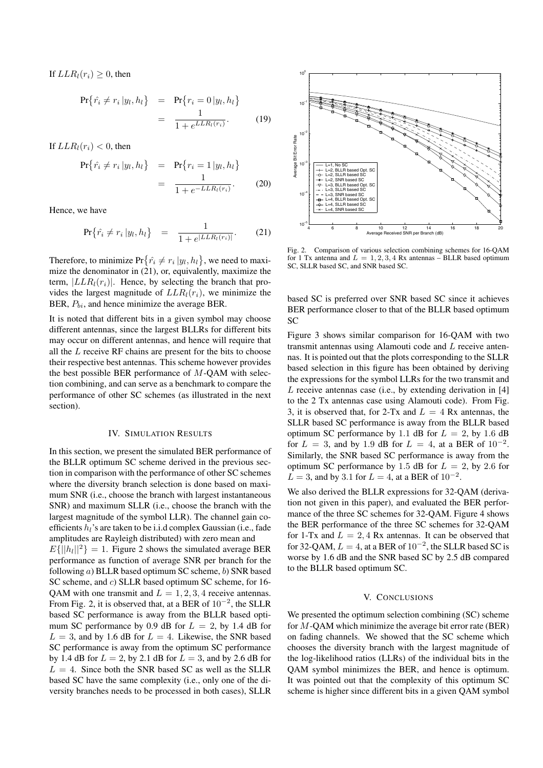If  $LLR_l(r_i) \geq 0$ , then

$$
\Pr{\hat{r}_i \neq r_i | y_l, h_l} = \Pr{\{r_i = 0 | y_l, h_l\}} \\
= \frac{1}{1 + e^{LLR_l(r_i)}}.
$$
\n(19)

If  $LLR_l(r_i) < 0$ , then

$$
\Pr{\hat{r}_i \neq r_i | y_l, h_l} = \Pr{\{r_i = 1 | y_l, h_l\}} \\
= \frac{1}{1 + e^{-LLR_l(r_i)}}.
$$
\n(20)

Hence, we have

$$
\Pr\{\hat{r}_i \neq r_i \, | y_l, h_l\} \quad = \quad \frac{1}{1 + e^{|LLR_l(r_i)|}}. \tag{21}
$$

Therefore, to minimize  $Pr\{\hat{r}_i \neq r_i | y_l, h_l\}$ , we need to maxi-<br>mize the denominator in (21) or equivalently maximize the mize the denominator in (21), or, equivalently, maximize the term,  $|LLR_l(r_i)|$ . Hence, by selecting the branch that provides the largest magnitude of  $LLR_l(r_i)$ , we minimize the BER,  $P_{bi}$ , and hence minimize the average BER.

It is noted that different bits in a given symbol may choose different antennas, since the largest BLLRs for different bits may occur on different antennas, and hence will require that all the  $L$  receive RF chains are present for the bits to choose their respective best antennas. This scheme however provides the best possible BER performance of M-QAM with selection combining, and can serve as a benchmark to compare the performance of other SC schemes (as illustrated in the next section).

## IV. SIMULATION RESULTS

In this section, we present the simulated BER performance of the BLLR optimum SC scheme derived in the previous section in comparison with the performance of other SC schemes where the diversity branch selection is done based on maximum SNR (i.e., choose the branch with largest instantaneous SNR) and maximum SLLR (i.e., choose the branch with the largest magnitude of the symbol LLR). The channel gain coefficients  $h_l$ 's are taken to be i.i.d complex Gaussian (i.e., fade amplitudes are Rayleigh distributed) with zero mean and  $E\{|h_l||^2\} = 1$ . Figure 2 shows the simulated average BER performance as function of average SNR per branch for the following a) BLLR based optimum SC scheme, b) SNR based SC scheme, and c) SLLR based optimum SC scheme, for 16-QAM with one transmit and  $L = 1, 2, 3, 4$  receive antennas. From Fig. 2, it is observed that, at a BER of  $10^{-2}$ , the SLLR based SC performance is away from the BLLR based optimum SC performance by 0.9 dB for  $L = 2$ , by 1.4 dB for  $L = 3$ , and by 1.6 dB for  $L = 4$ . Likewise, the SNR based SC performance is away from the optimum SC performance by 1.4 dB for  $L = 2$ , by 2.1 dB for  $L = 3$ , and by 2.6 dB for  $L = 4$ . Since both the SNR based SC as well as the SLLR based SC have the same complexity (i.e., only one of the diversity branches needs to be processed in both cases), SLLR



Fig. 2. Comparison of various selection combining schemes for 16-QAM for 1 Tx antenna and  $L = 1, 2, 3, 4$  Rx antennas – BLLR based optimum SC, SLLR based SC, and SNR based SC.

based SC is preferred over SNR based SC since it achieves BER performance closer to that of the BLLR based optimum SC

Figure 3 shows similar comparison for 16-QAM with two transmit antennas using Alamouti code and L receive antennas. It is pointed out that the plots corresponding to the SLLR based selection in this figure has been obtained by deriving the expressions for the symbol LLRs for the two transmit and  $L$  receive antennas case (i.e., by extending derivation in  $[4]$ to the 2 Tx antennas case using Alamouti code). From Fig. 3, it is observed that, for 2-Tx and  $L = 4$  Rx antennas, the SLLR based SC performance is away from the BLLR based optimum SC performance by 1.1 dB for  $L = 2$ , by 1.6 dB for  $L = 3$ , and by 1.9 dB for  $L = 4$ , at a BER of  $10^{-2}$ . Similarly, the SNR based SC performance is away from the optimum SC performance by 1.5 dB for  $L = 2$ , by 2.6 for  $L = 3$ , and by 3.1 for  $L = 4$ , at a BER of  $10^{-2}$ .

We also derived the BLLR expressions for 32-QAM (derivation not given in this paper), and evaluated the BER performance of the three SC schemes for 32-QAM. Figure 4 shows the BER performance of the three SC schemes for 32-QAM for 1-Tx and  $L = 2, 4$  Rx antennas. It can be observed that for 32-QAM,  $L = 4$ , at a BER of  $10^{-2}$ , the SLLR based SC is worse by 1.6 dB and the SNR based SC by 2.5 dB compared to the BLLR based optimum SC.

## V. CONCLUSIONS

We presented the optimum selection combining (SC) scheme for  $M$ -QAM which minimize the average bit error rate (BER) on fading channels. We showed that the SC scheme which chooses the diversity branch with the largest magnitude of the log-likelihood ratios (LLRs) of the individual bits in the QAM symbol minimizes the BER, and hence is optimum. It was pointed out that the complexity of this optimum SC scheme is higher since different bits in a given QAM symbol